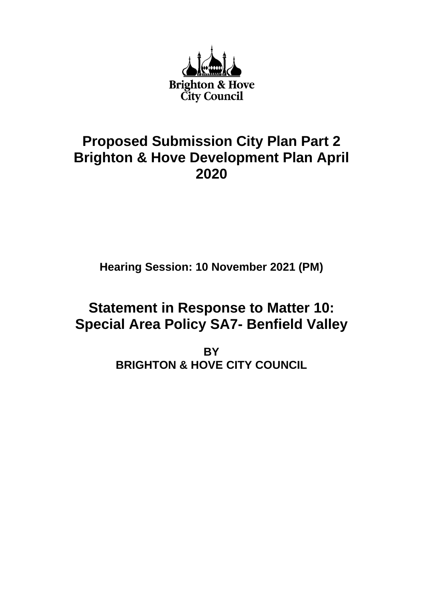

## **Proposed Submission City Plan Part 2 Brighton & Hove Development Plan April 2020**

**Hearing Session: 10 November 2021 (PM)**

# **Statement in Response to Matter 10: Special Area Policy SA7- Benfield Valley**

**BY BRIGHTON & HOVE CITY COUNCIL**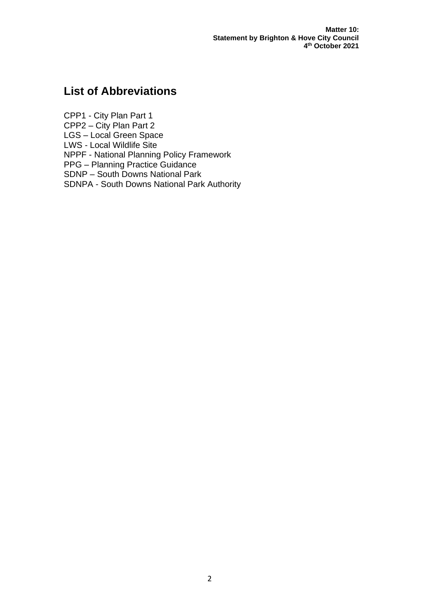### **List of Abbreviations**

CPP1 - City Plan Part 1 CPP2 – City Plan Part 2 LGS – Local Green Space LWS - Local Wildlife Site NPPF - National Planning Policy Framework PPG – Planning Practice Guidance SDNP – South Downs National Park SDNPA - South Downs National Park Authority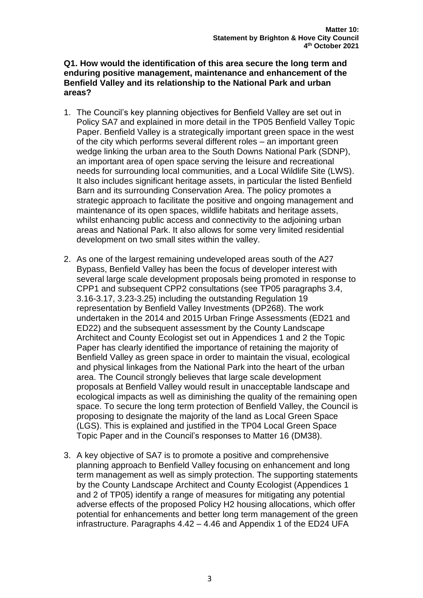#### **Q1. How would the identification of this area secure the long term and enduring positive management, maintenance and enhancement of the Benfield Valley and its relationship to the National Park and urban areas?**

- 1. The Council's key planning objectives for Benfield Valley are set out in Policy SA7 and explained in more detail in the TP05 Benfield Valley Topic Paper. Benfield Valley is a strategically important green space in the west of the city which performs several different roles – an important green wedge linking the urban area to the South Downs National Park (SDNP), an important area of open space serving the leisure and recreational needs for surrounding local communities, and a Local Wildlife Site (LWS). It also includes significant heritage assets, in particular the listed Benfield Barn and its surrounding Conservation Area. The policy promotes a strategic approach to facilitate the positive and ongoing management and maintenance of its open spaces, wildlife habitats and heritage assets, whilst enhancing public access and connectivity to the adjoining urban areas and National Park. It also allows for some very limited residential development on two small sites within the valley.
- 2. As one of the largest remaining undeveloped areas south of the A27 Bypass, Benfield Valley has been the focus of developer interest with several large scale development proposals being promoted in response to CPP1 and subsequent CPP2 consultations (see TP05 paragraphs 3.4, 3.16-3.17, 3.23-3.25) including the outstanding Regulation 19 representation by Benfield Valley Investments (DP268). The work undertaken in the 2014 and 2015 Urban Fringe Assessments (ED21 and ED22) and the subsequent assessment by the County Landscape Architect and County Ecologist set out in Appendices 1 and 2 the Topic Paper has clearly identified the importance of retaining the majority of Benfield Valley as green space in order to maintain the visual, ecological and physical linkages from the National Park into the heart of the urban area. The Council strongly believes that large scale development proposals at Benfield Valley would result in unacceptable landscape and ecological impacts as well as diminishing the quality of the remaining open space. To secure the long term protection of Benfield Valley, the Council is proposing to designate the majority of the land as Local Green Space (LGS). This is explained and justified in the TP04 Local Green Space Topic Paper and in the Council's responses to Matter 16 (DM38).
- 3. A key objective of SA7 is to promote a positive and comprehensive planning approach to Benfield Valley focusing on enhancement and long term management as well as simply protection. The supporting statements by the County Landscape Architect and County Ecologist (Appendices 1 and 2 of TP05) identify a range of measures for mitigating any potential adverse effects of the proposed Policy H2 housing allocations, which offer potential for enhancements and better long term management of the green infrastructure. Paragraphs 4.42 – 4.46 and Appendix 1 of the ED24 UFA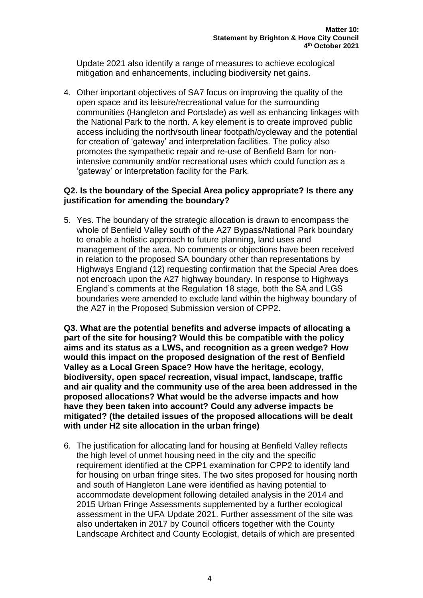Update 2021 also identify a range of measures to achieve ecological mitigation and enhancements, including biodiversity net gains.

4. Other important objectives of SA7 focus on improving the quality of the open space and its leisure/recreational value for the surrounding communities (Hangleton and Portslade) as well as enhancing linkages with the National Park to the north. A key element is to create improved public access including the north/south linear footpath/cycleway and the potential for creation of 'gateway' and interpretation facilities. The policy also promotes the sympathetic repair and re-use of Benfield Barn for nonintensive community and/or recreational uses which could function as a 'gateway' or interpretation facility for the Park.

#### **Q2. Is the boundary of the Special Area policy appropriate? Is there any justification for amending the boundary?**

5. Yes. The boundary of the strategic allocation is drawn to encompass the whole of Benfield Valley south of the A27 Bypass/National Park boundary to enable a holistic approach to future planning, land uses and management of the area. No comments or objections have been received in relation to the proposed SA boundary other than representations by Highways England (12) requesting confirmation that the Special Area does not encroach upon the A27 highway boundary. In response to Highways England's comments at the Regulation 18 stage, both the SA and LGS boundaries were amended to exclude land within the highway boundary of the A27 in the Proposed Submission version of CPP2.

**Q3. What are the potential benefits and adverse impacts of allocating a part of the site for housing? Would this be compatible with the policy aims and its status as a LWS, and recognition as a green wedge? How would this impact on the proposed designation of the rest of Benfield Valley as a Local Green Space? How have the heritage, ecology, biodiversity, open space/ recreation, visual impact, landscape, traffic and air quality and the community use of the area been addressed in the proposed allocations? What would be the adverse impacts and how have they been taken into account? Could any adverse impacts be mitigated? (the detailed issues of the proposed allocations will be dealt with under H2 site allocation in the urban fringe)**

6. The justification for allocating land for housing at Benfield Valley reflects the high level of unmet housing need in the city and the specific requirement identified at the CPP1 examination for CPP2 to identify land for housing on urban fringe sites. The two sites proposed for housing north and south of Hangleton Lane were identified as having potential to accommodate development following detailed analysis in the 2014 and 2015 Urban Fringe Assessments supplemented by a further ecological assessment in the UFA Update 2021. Further assessment of the site was also undertaken in 2017 by Council officers together with the County Landscape Architect and County Ecologist, details of which are presented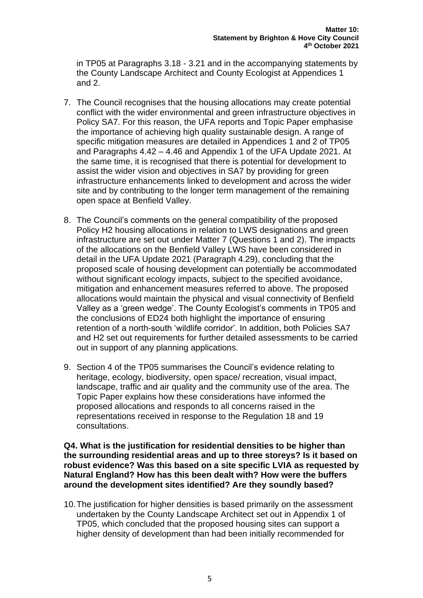in TP05 at Paragraphs 3.18 - 3.21 and in the accompanying statements by the County Landscape Architect and County Ecologist at Appendices 1 and 2.

- 7. The Council recognises that the housing allocations may create potential conflict with the wider environmental and green infrastructure objectives in Policy SA7. For this reason, the UFA reports and Topic Paper emphasise the importance of achieving high quality sustainable design. A range of specific mitigation measures are detailed in Appendices 1 and 2 of TP05 and Paragraphs 4.42 – 4.46 and Appendix 1 of the UFA Update 2021. At the same time, it is recognised that there is potential for development to assist the wider vision and objectives in SA7 by providing for green infrastructure enhancements linked to development and across the wider site and by contributing to the longer term management of the remaining open space at Benfield Valley.
- 8. The Council's comments on the general compatibility of the proposed Policy H2 housing allocations in relation to LWS designations and green infrastructure are set out under Matter 7 (Questions 1 and 2). The impacts of the allocations on the Benfield Valley LWS have been considered in detail in the UFA Update 2021 (Paragraph 4.29), concluding that the proposed scale of housing development can potentially be accommodated without significant ecology impacts, subject to the specified avoidance, mitigation and enhancement measures referred to above. The proposed allocations would maintain the physical and visual connectivity of Benfield Valley as a 'green wedge'. The County Ecologist's comments in TP05 and the conclusions of ED24 both highlight the importance of ensuring retention of a north-south 'wildlife corridor'. In addition, both Policies SA7 and H2 set out requirements for further detailed assessments to be carried out in support of any planning applications.
- 9. Section 4 of the TP05 summarises the Council's evidence relating to heritage, ecology, biodiversity, open space/ recreation, visual impact, landscape, traffic and air quality and the community use of the area. The Topic Paper explains how these considerations have informed the proposed allocations and responds to all concerns raised in the representations received in response to the Regulation 18 and 19 consultations.

**Q4. What is the justification for residential densities to be higher than the surrounding residential areas and up to three storeys? Is it based on robust evidence? Was this based on a site specific LVIA as requested by Natural England? How has this been dealt with? How were the buffers around the development sites identified? Are they soundly based?**

10.The justification for higher densities is based primarily on the assessment undertaken by the County Landscape Architect set out in Appendix 1 of TP05, which concluded that the proposed housing sites can support a higher density of development than had been initially recommended for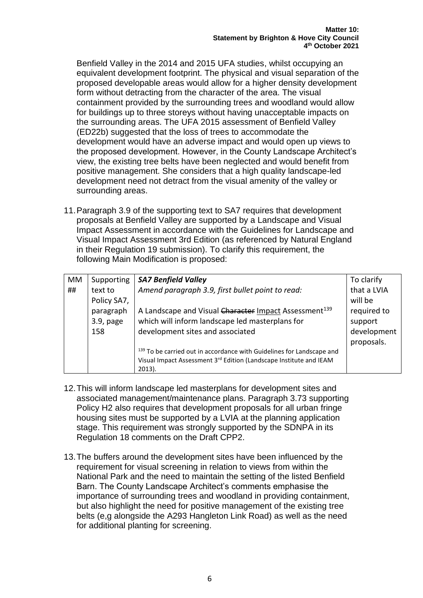Benfield Valley in the 2014 and 2015 UFA studies, whilst occupying an equivalent development footprint. The physical and visual separation of the proposed developable areas would allow for a higher density development form without detracting from the character of the area. The visual containment provided by the surrounding trees and woodland would allow for buildings up to three storeys without having unacceptable impacts on the surrounding areas. The UFA 2015 assessment of Benfield Valley (ED22b) suggested that the loss of trees to accommodate the development would have an adverse impact and would open up views to the proposed development. However, in the County Landscape Architect's view, the existing tree belts have been neglected and would benefit from positive management. She considers that a high quality landscape-led development need not detract from the visual amenity of the valley or surrounding areas.

11.Paragraph 3.9 of the supporting text to SA7 requires that development proposals at Benfield Valley are supported by a Landscape and Visual Impact Assessment in accordance with the Guidelines for Landscape and Visual Impact Assessment 3rd Edition (as referenced by Natural England in their Regulation 19 submission). To clarify this requirement, the following Main Modification is proposed:

| <b>MM</b> | Supporting   | <b>SA7 Benfield Valley</b>                                            | To clarify  |
|-----------|--------------|-----------------------------------------------------------------------|-------------|
| ##        | text to      | Amend paragraph 3.9, first bullet point to read:                      | that a LVIA |
|           | Policy SA7,  |                                                                       | will be     |
|           | paragraph    | A Landscape and Visual Character Impact Assessment <sup>139</sup>     | required to |
|           | $3.9$ , page | which will inform landscape led masterplans for                       | support     |
|           | 158          | development sites and associated                                      | development |
|           |              |                                                                       | proposals.  |
|           |              | 139 To be carried out in accordance with Guidelines for Landscape and |             |
|           |              | Visual Impact Assessment 3rd Edition (Landscape Institute and IEAM    |             |
|           |              | $2013$ ).                                                             |             |

- 12.This will inform landscape led masterplans for development sites and associated management/maintenance plans. Paragraph 3.73 supporting Policy H2 also requires that development proposals for all urban fringe housing sites must be supported by a LVIA at the planning application stage. This requirement was strongly supported by the SDNPA in its Regulation 18 comments on the Draft CPP2.
- 13.The buffers around the development sites have been influenced by the requirement for visual screening in relation to views from within the National Park and the need to maintain the setting of the listed Benfield Barn. The County Landscape Architect's comments emphasise the importance of surrounding trees and woodland in providing containment, but also highlight the need for positive management of the existing tree belts (e,g alongside the A293 Hangleton Link Road) as well as the need for additional planting for screening.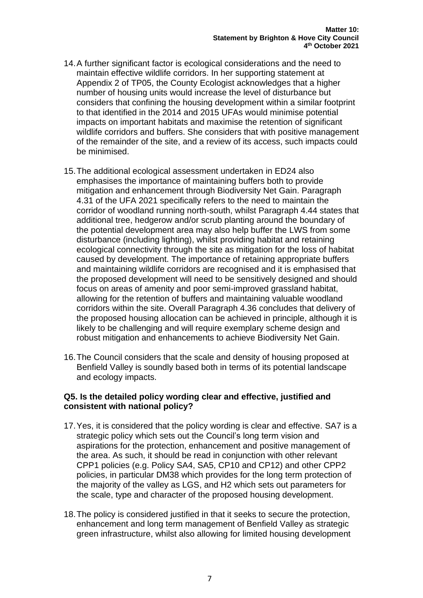- 14.A further significant factor is ecological considerations and the need to maintain effective wildlife corridors. In her supporting statement at Appendix 2 of TP05, the County Ecologist acknowledges that a higher number of housing units would increase the level of disturbance but considers that confining the housing development within a similar footprint to that identified in the 2014 and 2015 UFAs would minimise potential impacts on important habitats and maximise the retention of significant wildlife corridors and buffers. She considers that with positive management of the remainder of the site, and a review of its access, such impacts could be minimised.
- 15.The additional ecological assessment undertaken in ED24 also emphasises the importance of maintaining buffers both to provide mitigation and enhancement through Biodiversity Net Gain. Paragraph 4.31 of the UFA 2021 specifically refers to the need to maintain the corridor of woodland running north-south, whilst Paragraph 4.44 states that additional tree, hedgerow and/or scrub planting around the boundary of the potential development area may also help buffer the LWS from some disturbance (including lighting), whilst providing habitat and retaining ecological connectivity through the site as mitigation for the loss of habitat caused by development. The importance of retaining appropriate buffers and maintaining wildlife corridors are recognised and it is emphasised that the proposed development will need to be sensitively designed and should focus on areas of amenity and poor semi-improved grassland habitat, allowing for the retention of buffers and maintaining valuable woodland corridors within the site. Overall Paragraph 4.36 concludes that delivery of the proposed housing allocation can be achieved in principle, although it is likely to be challenging and will require exemplary scheme design and robust mitigation and enhancements to achieve Biodiversity Net Gain.
- 16.The Council considers that the scale and density of housing proposed at Benfield Valley is soundly based both in terms of its potential landscape and ecology impacts.

#### **Q5. Is the detailed policy wording clear and effective, justified and consistent with national policy?**

- 17.Yes, it is considered that the policy wording is clear and effective. SA7 is a strategic policy which sets out the Council's long term vision and aspirations for the protection, enhancement and positive management of the area. As such, it should be read in conjunction with other relevant CPP1 policies (e.g. Policy SA4, SA5, CP10 and CP12) and other CPP2 policies, in particular DM38 which provides for the long term protection of the majority of the valley as LGS, and H2 which sets out parameters for the scale, type and character of the proposed housing development.
- 18.The policy is considered justified in that it seeks to secure the protection, enhancement and long term management of Benfield Valley as strategic green infrastructure, whilst also allowing for limited housing development